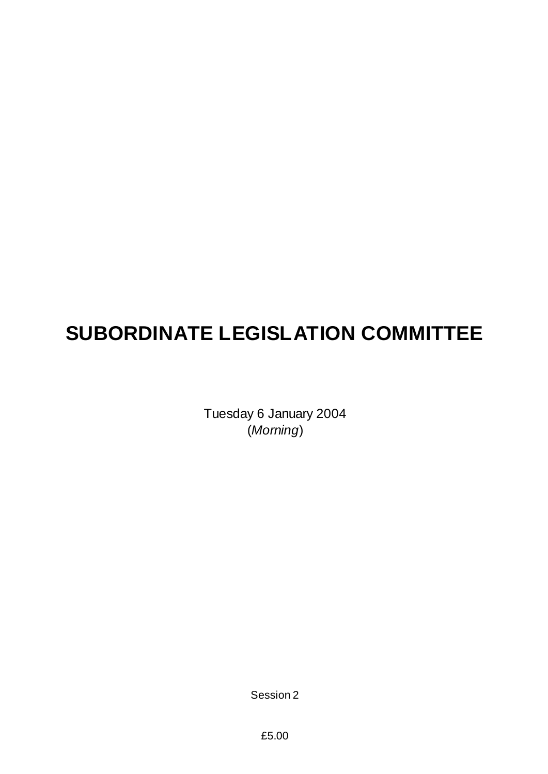# **SUBORDINATE LEGISLATION COMMITTEE**

Tuesday 6 January 2004 (*Morning*)

Session 2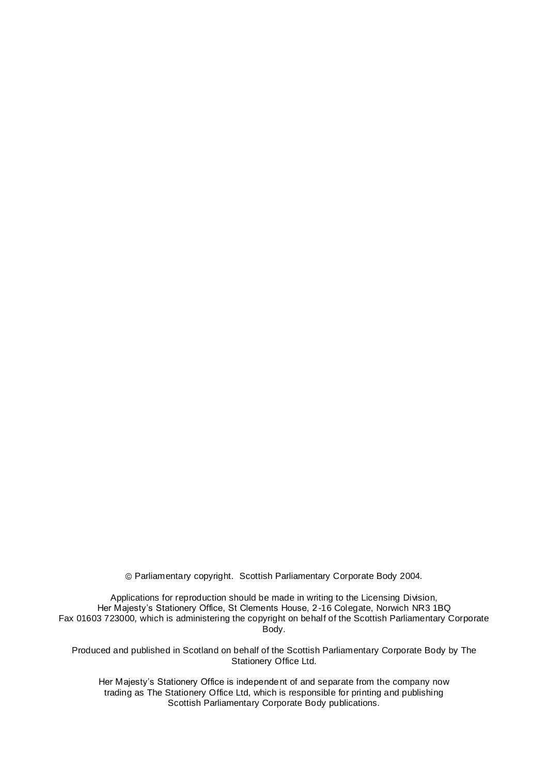Parliamentary copyright. Scottish Parliamentary Corporate Body 2004.

Applications for reproduction should be made in writing to the Licensing Division, Her Majesty's Stationery Office, St Clements House, 2-16 Colegate, Norwich NR3 1BQ Fax 01603 723000, which is administering the copyright on behalf of the Scottish Parliamentary Corporate Body.

Produced and published in Scotland on behalf of the Scottish Parliamentary Corporate Body by The Stationery Office Ltd.

Her Majesty's Stationery Office is independent of and separate from the company now trading as The Stationery Office Ltd, which is responsible for printing and publishing Scottish Parliamentary Corporate Body publications.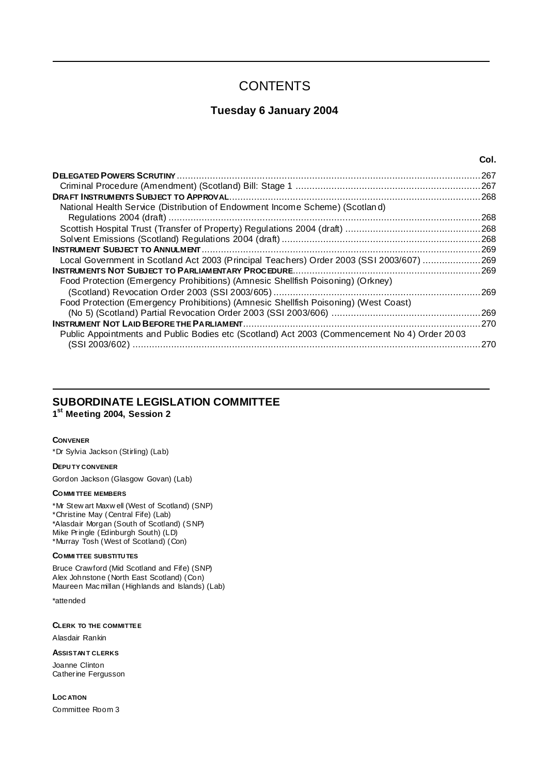# **CONTENTS**

## **Tuesday 6 January 2004**

|                                                                                              | Col. |
|----------------------------------------------------------------------------------------------|------|
|                                                                                              | 267  |
|                                                                                              |      |
|                                                                                              |      |
| National Health Service (Distribution of Endowment Income Scheme) (Scotland)                 |      |
|                                                                                              | 268  |
|                                                                                              |      |
|                                                                                              |      |
|                                                                                              | .269 |
| Local Government in Scotland Act 2003 (Principal Teachers) Order 2003 (SSI 2003/607) 269     |      |
|                                                                                              |      |
| Food Protection (Emergency Prohibitions) (Amnesic Shellfish Poisoning) (Orkney)              |      |
|                                                                                              | 269  |
| Food Protection (Emergency Prohibitions) (Amnesic Shellfish Poisoning) (West Coast)          |      |
|                                                                                              |      |
|                                                                                              | 270  |
| Public Appointments and Public Bodies etc (Scotland) Act 2003 (Commencement No 4) Order 2003 |      |
|                                                                                              | 270  |
|                                                                                              |      |

# **SUBORDINATE LEGISLATION COMMITTEE**

**1 st Meeting 2004, Session 2**

#### **CONVENER**

\*Dr Sylvia Jackson (Stirling) (Lab)

#### **DEPU TY CONVENER**

Gordon Jackson (Glasgow Govan) (Lab)

#### **COMMI TTEE MEMBERS**

\*Mr Stew art Maxw ell (West of Scotland) (SNP) \*Christine May (Central Fife) (Lab) \*Alasdair Morgan (South of Scotland) (SNP) Mike Pringle (Edinburgh South) (LD) \*Murray Tosh (West of Scotland) (Con)

#### **COMMI TTEE SUBSTITU TES**

Bruce Crawford (Mid Scotland and Fife) (SNP) Alex Johnstone (North East Scotland) (Con) Maureen Macmillan (Highlands and Islands) (Lab)

\*attended

**CLERK TO THE COMMITTEE**

Alasdair Rankin

**ASSISTAN T CLERKS**

Joanne Clinton Catherine Fergusson

**LOC ATION** Committee Room 3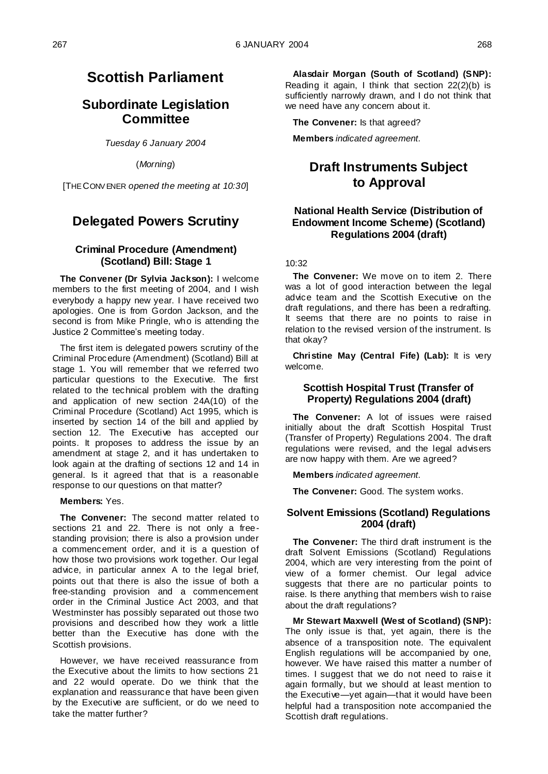# **Scottish Parliament**

## **Subordinate Legislation Committee**

*Tuesday 6 January 2004*

(*Morning*)

[THE CONV ENER *opened the meeting at 10:30*]

# **Delegated Powers Scrutiny**

## **Criminal Procedure (Amendment) (Scotland) Bill: Stage 1**

**The Convener (Dr Sylvia Jackson):** I welcome members to the first meeting of 2004, and I wish everybody a happy new year. I have received two apologies. One is from Gordon Jackson, and the second is from Mike Pringle, who is attending the Justice 2 Committee's meeting today.

The first item is delegated powers scrutiny of the Criminal Procedure (Amendment) (Scotland) Bill at stage 1. You will remember that we referred two particular questions to the Executive. The first related to the technical problem with the drafting and application of new section 24A(10) of the Criminal Procedure (Scotland) Act 1995, which is inserted by section 14 of the bill and applied by section 12. The Executive has accepted our points. It proposes to address the issue by an amendment at stage 2, and it has undertaken to look again at the drafting of sections 12 and 14 in general. Is it agreed that that is a reasonable response to our questions on that matter?

**Members:** Yes.

**The Convener:** The second matter related to sections 21 and 22. There is not only a freestanding provision; there is also a provision under a commencement order, and it is a question of how those two provisions work together. Our legal advice, in particular annex A to the legal brief, points out that there is also the issue of both a free-standing provision and a commencement order in the Criminal Justice Act 2003, and that Westminster has possibly separated out those two provisions and described how they work a little better than the Executive has done with the Scottish provisions.

However, we have received reassurance from the Executive about the limits to how sections 21 and 22 would operate. Do we think that the explanation and reassurance that have been given by the Executive are sufficient, or do we need to take the matter further?

**Alasdair Morgan (South of Scotland) (SNP):**  Reading it again, I think that section 22(2)(b) is sufficiently narrowly drawn, and I do not think that we need have any concern about it.

**The Convener:** Is that agreed?

**Members** *indicated agreement.*

# **Draft Instruments Subject to Approval**

## **National Health Service (Distribution of Endowment Income Scheme) (Scotland) Regulations 2004 (draft)**

#### $10.32$

**The Convener:** We move on to item 2. There was a lot of good interaction between the legal advice team and the Scottish Executive on the draft regulations, and there has been a redrafting. It seems that there are no points to raise in relation to the revised version of the instrument. Is that okay?

**Christine May (Central Fife) (Lab):** It is very welcome.

## **Scottish Hospital Trust (Transfer of Property) Regulations 2004 (draft)**

**The Convener:** A lot of issues were raised initially about the draft Scottish Hospital Trust (Transfer of Property) Regulations 2004. The draft regulations were revised, and the legal advisers are now happy with them. Are we agreed?

**Members** *indicated agreement.*

**The Convener:** Good. The system works.

#### **Solvent Emissions (Scotland) Regulations 2004 (draft)**

**The Convener:** The third draft instrument is the draft Solvent Emissions (Scotland) Regulations 2004, which are very interesting from the point of view of a former chemist. Our legal advice suggests that there are no particular points to raise. Is there anything that members wish to raise about the draft regulations?

**Mr Stewart Maxwell (West of Scotland) (SNP):**  The only issue is that, yet again, there is the absence of a transposition note. The equivalent English regulations will be accompanied by one, however. We have raised this matter a number of times. I suggest that we do not need to raise it again formally, but we should at least mention to the Executive—yet again—that it would have been helpful had a transposition note accompanied the Scottish draft regulations.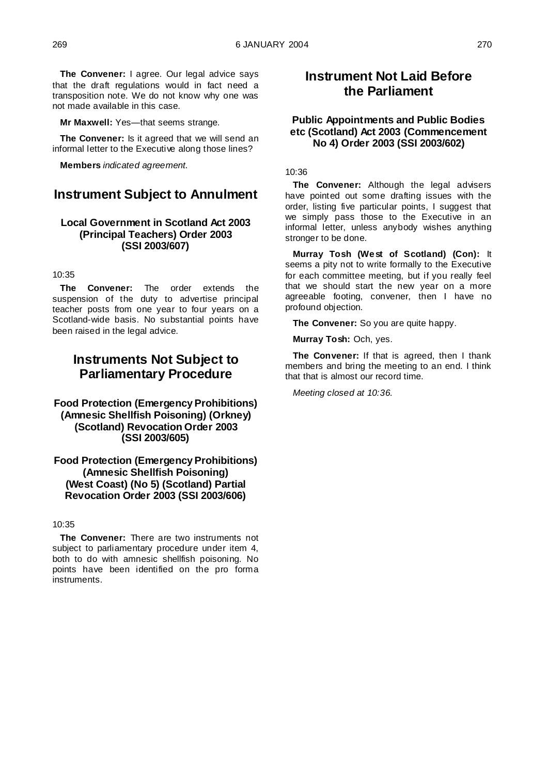**The Convener:** I agree. Our legal advice says that the draft regulations would in fact need a transposition note. We do not know why one was not made available in this case.

**Mr Maxwell:** Yes—that seems strange.

**The Convener:** Is it agreed that we will send an informal letter to the Executive along those lines?

**Members** *indicated agreement.*

## **Instrument Subject to Annulment**

## **Local Government in Scotland Act 2003 (Principal Teachers) Order 2003 (SSI 2003/607)**

#### 10:35

**The Convener:** The order extends the suspension of the duty to advertise principal teacher posts from one year to four years on a Scotland-wide basis. No substantial points have been raised in the legal advice.

## **Instruments Not Subject to Parliamentary Procedure**

## **Food Protection (Emergency Prohibitions) (Amnesic Shellfish Poisoning) (Orkney) (Scotland) Revocation Order 2003 (SSI 2003/605)**

#### **Food Protection (Emergency Prohibitions) (Amnesic Shellfish Poisoning) (West Coast) (No 5) (Scotland) Partial Revocation Order 2003 (SSI 2003/606)**

#### 10:35

**The Convener:** There are two instruments not subject to parliamentary procedure under item 4, both to do with amnesic shellfish poisoning. No points have been identified on the pro forma instruments.

## **Instrument Not Laid Before the Parliament**

## **Public Appointments and Public Bodies etc (Scotland) Act 2003 (Commencement No 4) Order 2003 (SSI 2003/602)**

#### 10:36

**The Convener:** Although the legal advisers have pointed out some drafting issues with the order, listing five particular points, I suggest that we simply pass those to the Executive in an informal letter, unless anybody wishes anything stronger to be done.

**Murray Tosh (West of Scotland) (Con):** It seems a pity not to write formally to the Executive for each committee meeting, but if you really feel that we should start the new year on a more agreeable footing, convener, then I have no profound objection.

**The Convener:** So you are quite happy.

**Murray Tosh:** Och, yes.

**The Convener:** If that is agreed, then I thank members and bring the meeting to an end. I think that that is almost our record time.

*Meeting closed at 10:36.*